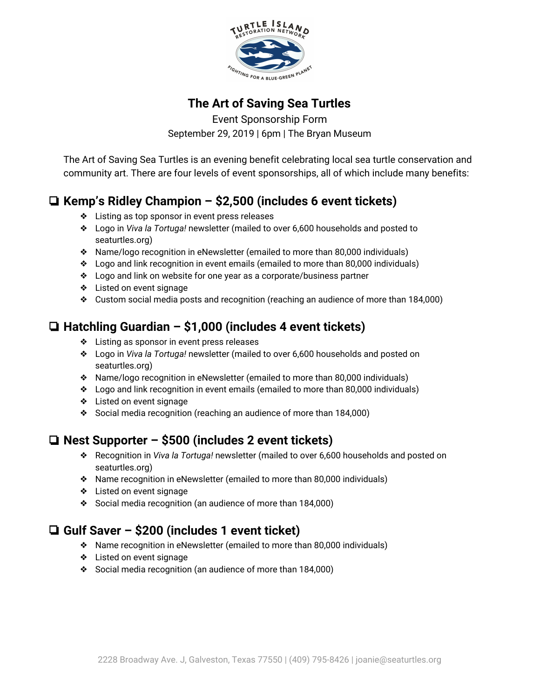

#### **The Art of Saving Sea Turtles**

Event Sponsorship Form September 29, 2019 | 6pm | The Bryan Museum

The Art of Saving Sea Turtles is an evening benefit celebrating local sea turtle conservation and community art. There are four levels of event sponsorships, all of which include many benefits:

## ❏ **Kemp's Ridley Champion – \$2,500 (includes 6 event tickets)**

- ❖ Listing as top sponsor in event press releases
- ❖ Logo in *Viva la Tortuga!* newsletter (mailed to over 6,600 households and posted to seaturtles.org)
- ❖ Name/logo recognition in eNewsletter (emailed to more than 80,000 individuals)
- ❖ Logo and link recognition in event emails (emailed to more than 80,000 individuals)
- ❖ Logo and link on website for one year as a corporate/business partner
- ❖ Listed on event signage
- ❖ Custom social media posts and recognition (reaching an audience of more than 184,000)

# ❏ **Hatchling Guardian – \$1,000 (includes 4 event tickets)**

- ❖ Listing as sponsor in event press releases
- ❖ Logo in *Viva la Tortuga!* newsletter (mailed to over 6,600 households and posted on seaturtles.org)
- ❖ Name/logo recognition in eNewsletter (emailed to more than 80,000 individuals)
- ❖ Logo and link recognition in event emails (emailed to more than 80,000 individuals)
- ❖ Listed on event signage
- ❖ Social media recognition (reaching an audience of more than 184,000)

## ❏ **Nest Supporter – \$500 (includes 2 event tickets)**

- ❖ Recognition in *Viva la Tortuga!* newsletter (mailed to over 6,600 households and posted on seaturtles.org)
- ❖ Name recognition in eNewsletter (emailed to more than 80,000 individuals)
- ❖ Listed on event signage
- ❖ Social media recognition (an audience of more than 184,000)

## ❏ **Gulf Saver – \$200 (includes 1 event ticket)**

- ❖ Name recognition in eNewsletter (emailed to more than 80,000 individuals)
- ❖ Listed on event signage
- ❖ Social media recognition (an audience of more than 184,000)